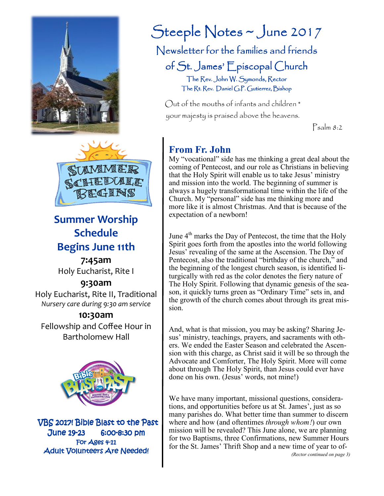



# **Summer Worship Schedule Begins June 11th**

**7:45am**  Holy Eucharist, Rite I

### **9:30am**

Holy Eucharist, Rite II, Traditional *Nursery care during 9:30 am service* 

### **10:30am**

Fellowship and Coffee Hour in Bartholomew Hall



VBS 2017! Bible Blast to the Past June 19-23 6:00-8:30 pm For  $A$ ges  $4-11$ Adult Volunteers Are Needed!

# Steeple Notes ~ June 2017

Newsletter for the families and friends

of St. James' Episcopal Church

The Rev. John W. Symonds, Rector The Rt. Rev. Daniel G.P. Gutierrez, Bishop

Out of the mouths of infants and children \* your majesty is praised above the heavens.

Psalm 8:2

# **From Fr. John**

My "vocational" side has me thinking a great deal about the coming of Pentecost, and our role as Christians in believing that the Holy Spirit will enable us to take Jesus' ministry and mission into the world. The beginning of summer is always a hugely transformational time within the life of the Church. My "personal" side has me thinking more and more like it is almost Christmas. And that is because of the expectation of a newborn!

June  $4<sup>th</sup>$  marks the Day of Pentecost, the time that the Holy Spirit goes forth from the apostles into the world following Jesus' revealing of the same at the Ascension. The Day of Pentecost, also the traditional "birthday of the church," and the beginning of the longest church season, is identified liturgically with red as the color denotes the fiery nature of The Holy Spirit. Following that dynamic genesis of the season, it quickly turns green as "Ordinary Time" sets in, and the growth of the church comes about through its great mission.

And, what is that mission, you may be asking? Sharing Jesus' ministry, teachings, prayers, and sacraments with others. We ended the Easter Season and celebrated the Ascension with this charge, as Christ said it will be so through the Advocate and Comforter, The Holy Spirit. More will come about through The Holy Spirit, than Jesus could ever have done on his own. (Jesus' words, not mine!)

We have many important, missional questions, considerations, and opportunities before us at St. James', just as so many parishes do. What better time than summer to discern where and how (and oftentimes *through whom!*) our own mission will be revealed? This June alone, we are planning for two Baptisms, three Confirmations, new Summer Hours for the St. James' Thrift Shop and a new time of year to of-

*(Rector continued on page 3)*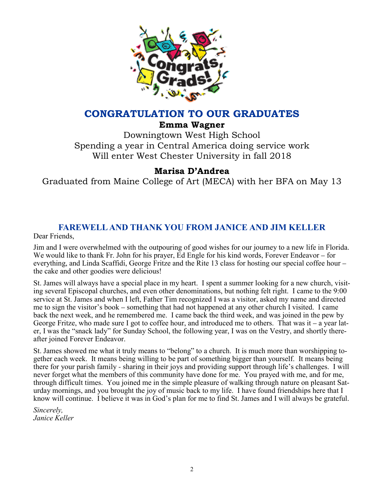

### **CONGRATULATION TO OUR GRADUATES**

**Emma Wagner** 

Downingtown West High School Spending a year in Central America doing service work Will enter West Chester University in fall 2018

## **Marisa D'Andrea**

Graduated from Maine College of Art (MECA) with her BFA on May 13

# **FAREWELL AND THANK YOU FROM JANICE AND JIM KELLER**

Dear Friends,

Jim and I were overwhelmed with the outpouring of good wishes for our journey to a new life in Florida. We would like to thank Fr. John for his prayer, Ed Engle for his kind words, Forever Endeavor – for everything, and Linda Scaffidi, George Fritze and the Rite 13 class for hosting our special coffee hour – the cake and other goodies were delicious!

St. James will always have a special place in my heart. I spent a summer looking for a new church, visiting several Episcopal churches, and even other denominations, but nothing felt right. I came to the 9:00 service at St. James and when I left, Father Tim recognized I was a visitor, asked my name and directed me to sign the visitor's book – something that had not happened at any other church I visited. I came back the next week, and he remembered me. I came back the third week, and was joined in the pew by George Fritze, who made sure I got to coffee hour, and introduced me to others. That was it – a year later, I was the "snack lady" for Sunday School, the following year, I was on the Vestry, and shortly thereafter joined Forever Endeavor.

St. James showed me what it truly means to "belong" to a church. It is much more than worshipping together each week. It means being willing to be part of something bigger than yourself. It means being there for your parish family - sharing in their joys and providing support through life's challenges. I will never forget what the members of this community have done for me. You prayed with me, and for me, through difficult times. You joined me in the simple pleasure of walking through nature on pleasant Saturday mornings, and you brought the joy of music back to my life. I have found friendships here that I know will continue. I believe it was in God's plan for me to find St. James and I will always be grateful.

*Sincerely, Janice Keller*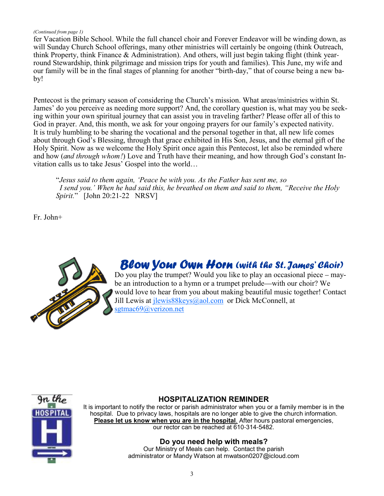#### *(Continued from page 1)*

fer Vacation Bible School. While the full chancel choir and Forever Endeavor will be winding down, as will Sunday Church School offerings, many other ministries will certainly be ongoing (think Outreach, think Property, think Finance & Administration). And others, will just begin taking flight (think yearround Stewardship, think pilgrimage and mission trips for youth and families). This June, my wife and our family will be in the final stages of planning for another "birth-day," that of course being a new baby!

Pentecost is the primary season of considering the Church's mission. What areas/ministries within St. James' do you perceive as needing more support? And, the corollary question is, what may you be seeking within your own spiritual journey that can assist you in traveling farther? Please offer all of this to God in prayer. And, this month, we ask for your ongoing prayers for our family's expected nativity. It is truly humbling to be sharing the vocational and the personal together in that, all new life comes about through God's Blessing, through that grace exhibited in His Son, Jesus, and the eternal gift of the Holy Spirit. Now as we welcome the Holy Spirit once again this Pentecost, let also be reminded where and how (*and through whom!*) Love and Truth have their meaning, and how through God's constant Invitation calls us to take Jesus' Gospel into the world…

"*Jesus said to them again, 'Peace be with you. As the Father has sent me, so I send you.' When he had said this, he breathed on them and said to them, "Receive the Holy Spirit.*" [John 20:21-22 NRSV]

Fr. John+



# Blow Your Own Horn (with the St. James' Choir)

Do you play the trumpet? Would you like to play an occasional piece – maybe an introduction to a hymn or a trumpet prelude—with our choir? We would love to hear from you about making beautiful music together! Contact Jill Lewis at jlewis88keys@aol.com or Dick McConnell, at sgtmac69@verizon.net



#### **HOSPITALIZATION REMINDER**

It is important to notify the rector or parish administrator when you or a family member is in the hospital. Due to privacy laws, hospitals are no longer able to give the church information. **Please let us know when you are in the hospital**. After hours pastoral emergencies, our rector can be reached at 610-314-5482.

#### **Do you need help with meals?**

Our Ministry of Meals can help. Contact the parish administrator or Mandy Watson at mwatson0207@icloud.com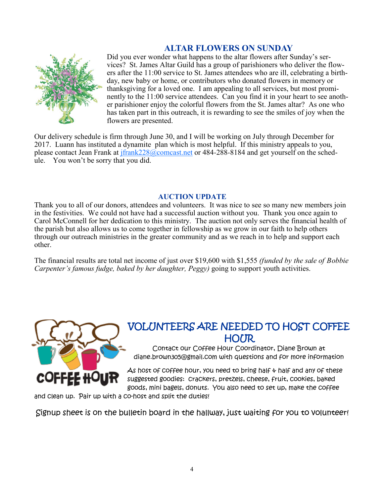### **ALTAR FLOWERS ON SUNDAY**



Did you ever wonder what happens to the altar flowers after Sunday's services? St. James Altar Guild has a group of parishioners who deliver the flowers after the 11:00 service to St. James attendees who are ill, celebrating a birthday, new baby or home, or contributors who donated flowers in memory or thanksgiving for a loved one. I am appealing to all services, but most prominently to the 11:00 service attendees. Can you find it in your heart to see another parishioner enjoy the colorful flowers from the St. James altar? As one who has taken part in this outreach, it is rewarding to see the smiles of joy when the flowers are presented.

Our delivery schedule is firm through June 30, and I will be working on July through December for 2017. Luann has instituted a dynamite plan which is most helpful. If this ministry appeals to you, please contact Jean Frank at  $jfrank228@$ comcast.net or 484-288-8184 and get yourself on the schedule. You won't be sorry that you did.

#### **AUCTION UPDATE**

Thank you to all of our donors, attendees and volunteers. It was nice to see so many new members join in the festivities. We could not have had a successful auction without you. Thank you once again to Carol McConnell for her dedication to this ministry. The auction not only serves the financial health of the parish but also allows us to come together in fellowship as we grow in our faith to help others through our outreach ministries in the greater community and as we reach in to help and support each other.

The financial results are total net income of just over \$19,600 with \$1,555 *(funded by the sale of Bobbie Carpenter's famous fudge, baked by her daughter, Peggy)* going to support youth activities.



# VOLUNTEERS ARE NEEDED TO HOST COFFEE HOUR

Contact our Coffee Hour Coordinator, Diane Brown at diane.brown305@gmail.com with questions and for more information

As host of coffee hour, you need to bring half  $\psi$  half and any of these suggested goodies: crackers, pretzels, cheese, fruit, cookies, baked goods, mini bagels, donuts. You also need to set up, make the coffee

and clean up. Pair up with a co-host and split the duties!

Signup sheet is on the bulletin board in the hallway, just waiting for you to volunteer!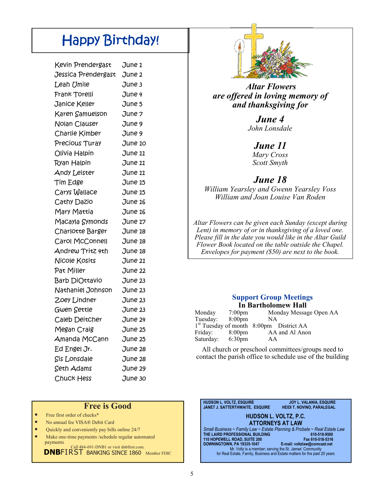# Happy Birthday!

| Kevin Prendergast   | June 1         |
|---------------------|----------------|
| Jessica Prendergast | June 2         |
| Leah Umile          | June 3         |
| Frank Torelli       | June 4         |
| Janice Keller       | June 5         |
| Karen Samuelson     | June 7         |
| Nolan Clauser       | June 9         |
| Charlie Kimber      | June 9         |
| Precious Turay      | June 10        |
| Olivia Halpin       | June 11        |
| Ryan Halpin         | <b>June 11</b> |
| <b>Andy Leister</b> | June 11        |
| Tim Edge            | June 15        |
| Carys Wallace       | June 15        |
| Cathy Dazio         | June 16        |
| Mary Mattia         | June 16        |
| Macayla Symonds     | June 17        |
| Charlotte Barger    | June 18        |
| Carol McConnell     | June 18        |
| Andrew Tritz 4th    | June 18        |
| Nicole Kosits       | June 21        |
| Pat Miller          | June 22        |
| Barb DiOttavio      | June 23        |
| Nathaniel Johnson   | June 23        |
| Zoey Lindner        | June 23        |
| Gwen Settle         | June 23        |
| Caleb Deitcher      | June 24        |
| Megan Craig         | June 25        |
| Amanda McCann       | June 25        |
| Ed Engel Jr.        | June 28        |
| <b>Sis Lonsdale</b> | June 28        |
| Seth Adams          | June 29        |
| <b>Chuck Hess</b>   | June 30        |

#### **Free is Good**

- Free first order of checks\*
- No annual fee VISA® Debit Card
- Quickly and conveniently pay bills online 24/7
- Make one-time payments /schedule regular automated payments Call 484-691-DNB1 or visit dnbfirst.com.

**DNBFIRST BANKING SINCE 1860 Member FDIC** 



 *Altar Flowers are offered in loving memory of and thanksgiving for*

#### *June 4 John Lonsdale*

#### *June 11*

*Mary Cross Scott Smyth*

### *June 18*

*William Yearsley and Gwenn Yearsley Voss William and Joan Louise Van Roden*

*Altar Flowers can be given each Sunday (except during Lent) in memory of or in thanksgiving of a loved one. Please fill in the date you would like in the Altar Guild Flower Book located on the table outside the Chapel. Envelopes for payment (\$50) are next to the book.* 

#### **Support Group Meetings In Bartholomew Hall**

| Monday           | $7:00$ pm | Monday Message Open AA                              |
|------------------|-----------|-----------------------------------------------------|
| Tuesday: 8:00pm  |           | NA                                                  |
|                  |           | 1 <sup>st</sup> Tuesday of month 8:00pm District AA |
| Friday:          | 8:00pm    | AA and Al Anon                                      |
| Saturday: 6:30pm |           | AA                                                  |

All church or preschool committees/groups need to contact the parish office to schedule use of the building